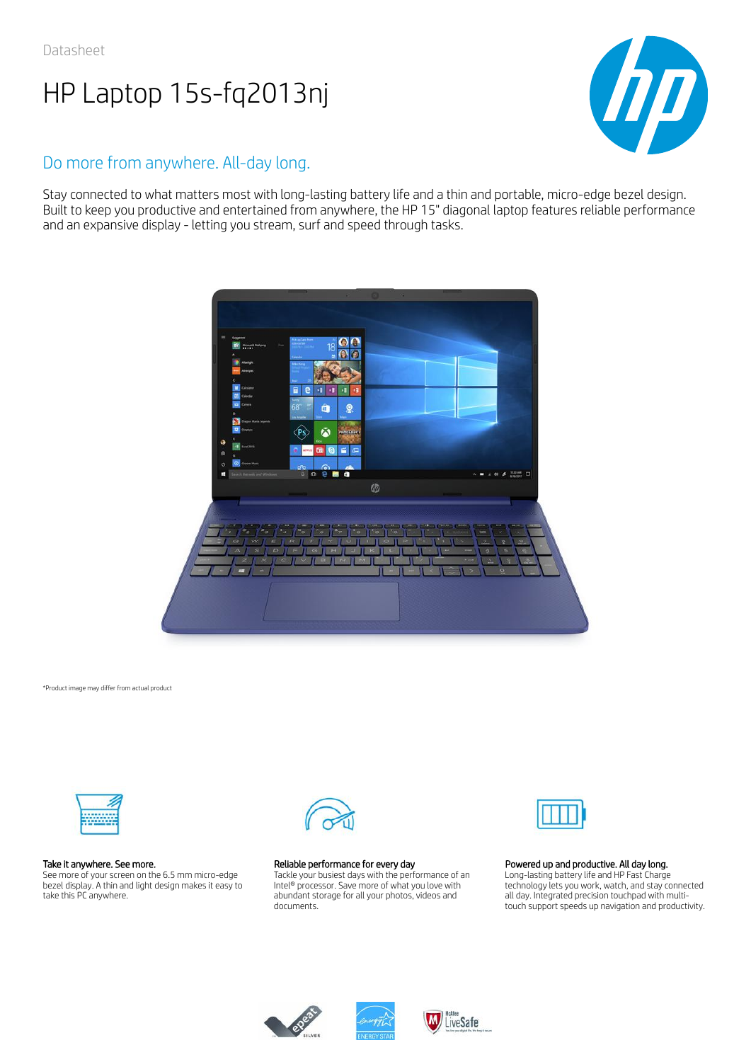

## Do more from anywhere. All-day long.

Stay connected to what matters most with long-lasting battery life and a thin and portable, micro-edge bezel design. Built to keep you productive and entertained from anywhere, the HP 15" diagonal laptop features reliable performance and an expansive display - letting you stream, surf and speed through tasks.



\*Product image may differ from actual product



#### Take it anywhere. See more.

See more of your screen on the 6.5 mm micro-edge bezel display. A thin and light design makes it easy to take this PC anywhere.



#### Reliable performance for every day

Tackle your busiest days with the performance of an Intel® processor. Save more of what you love with abundant storage for all your photos, videos and documents.



#### Powered up and productive. All day long.

Long-lasting battery life and HP Fast Charge technology lets you work, watch, and stay connected all day. Integrated precision touchpad with multitouch support speeds up navigation and productivity.





LiveSafe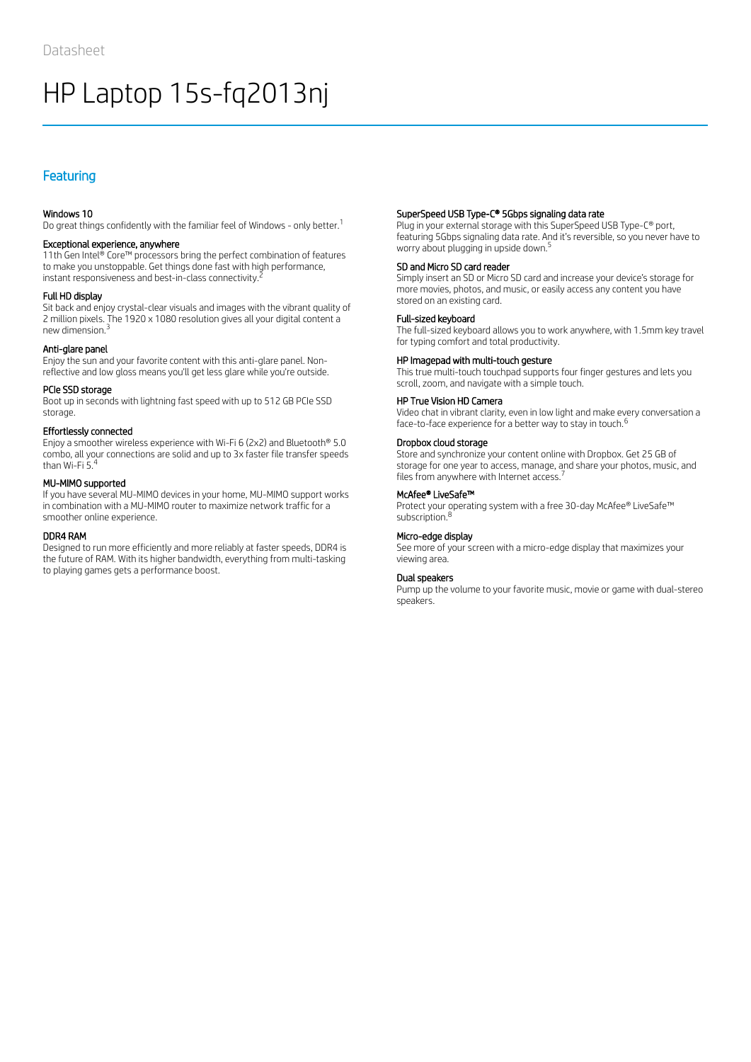## Featuring

#### Windows 10

Do great things confidently with the familiar feel of Windows - only better.<sup>1</sup>

#### Exceptional experience, anywhere

11th Gen Intel® Core™ processors bring the perfect combination of features to make you unstoppable. Get things done fast with high performance, instant responsiveness and best-in-class connectivity.  $^{\bar{z}}$ 

#### Full HD display

Sit back and enjoy crystal-clear visuals and images with the vibrant quality of 2 million pixels. The 1920 x 1080 resolution gives all your digital content a new dimension. 3

#### Anti-glare panel

Enjoy the sun and your favorite content with this anti-glare panel. Nonreflective and low gloss means you'll get less glare while you're outside.

#### PCIe SSD storage

Boot up in seconds with lightning fast speed with up to 512 GB PCIe SSD storage.

#### Effortlessly connected

Enjoy a smoother wireless experience with Wi-Fi 6 (2x2) and Bluetooth® 5.0 combo, all your connections are solid and up to 3x faster file transfer speeds than Wi-Fi 5. 4

### MU-MIMO supported

If you have several MU-MIMO devices in your home, MU-MIMO support works in combination with a MU-MIMO router to maximize network traffic for a smoother online experience.

#### DDR4 RAM

Designed to run more efficiently and more reliably at faster speeds, DDR4 is the future of RAM. With its higher bandwidth, everything from multi-tasking to playing games gets a performance boost.

#### SuperSpeed USB Type-C® 5Gbps signaling data rate

Plug in your external storage with this SuperSpeed USB Type-C® port, featuring 5Gbps signaling data rate. And it's reversible, so you never have to worry about plugging in upside down. 5

#### SD and Micro SD card reader

Simply insert an SD or Micro SD card and increase your device's storage for more movies, photos, and music, or easily access any content you have stored on an existing card.

#### Full-sized keyboard

The full-sized keyboard allows you to work anywhere, with 1.5mm key travel for typing comfort and total productivity.

#### HP Imagepad with multi-touch gesture

This true multi-touch touchpad supports four finger gestures and lets you scroll, zoom, and navigate with a simple touch.

#### HP True Vision HD Camera

Video chat in vibrant clarity, even in low light and make every conversation a face-to-face experience for a better way to stay in touch.<sup>6</sup>

#### Dropbox cloud storage

Store and synchronize your content online with Dropbox. Get 25 GB of storage for one year to access, manage, and share your photos, music, and files from anywhere with Internet access.<sup>7</sup>

#### McAfee® LiveSafe™

Protect your operating system with a free 30-day McAfee® LiveSafe™ subscription.<sup>8</sup>

#### Micro-edge display

See more of your screen with a micro-edge display that maximizes your viewing area.

#### Dual speakers

Pump up the volume to your favorite music, movie or game with dual-stereo speakers.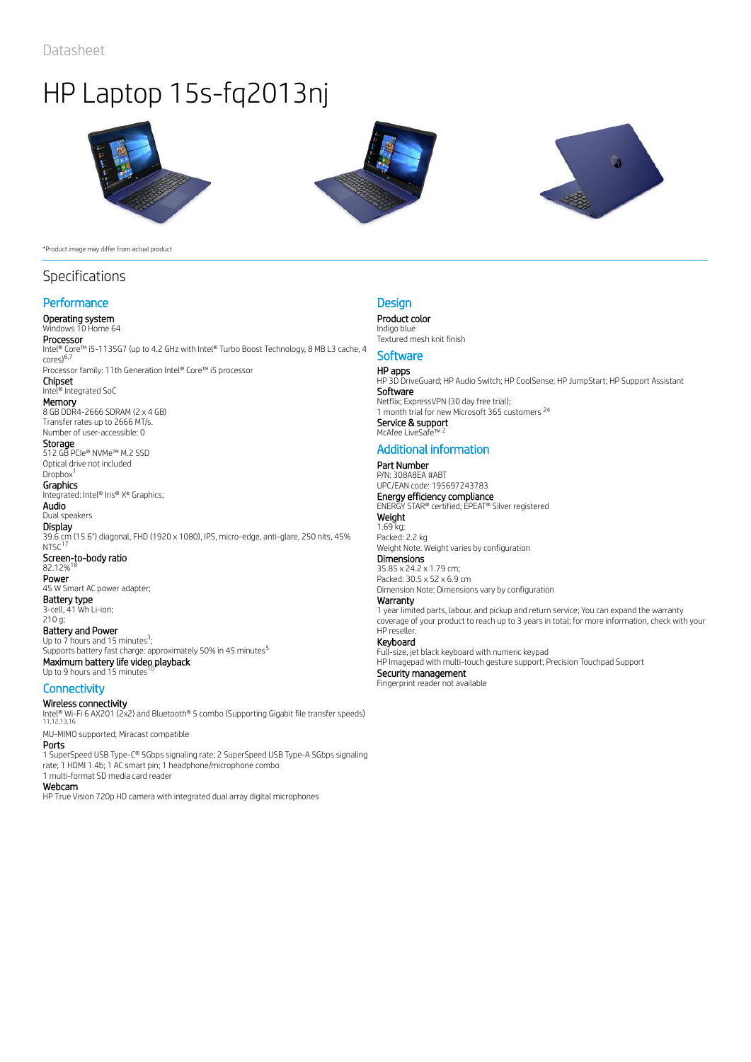





#### \*Product image may differ from actual product

## Specifications

## **Performance**

### Operating system

Windows 10 Home 64 **Processor**<br>Intel® Core™ i5-1135G7 (up to 4.2 GHz with Intel® Turbo Boost Technology, 8 MB L3 cache, 4

cores) 6,7 Processor family: 11th Generation Intel® Core™ i5 processor Chipset

#### Intel® Integrated SoC

**Memory**<br>8 GB DDR4-2666 SDRAM (2 x 4 GB) Transfer rates up to 2666 MT/s.

## Number of user-accessible: 0

**Storage** 512 GB PCIe® NVMe™ M.2 SSD Optical drive not included

#### Dropbox<sup>1</sup> **Graphics**

Integrated: Intel® Iris® X<sup>e</sup> Graphics; Audio

Dual speakers

**Display** 39.6 cm (15.6") diagonal, FHD (1920 x 1080), IPS, micro-edge, anti-glare, 250 nits, 45%  $NTSC<sup>17</sup>$ Screen-to-body ratio<br>82.12%<sup>18</sup> 82.12% Power 45 W Smart AC power adapter; Battery type

3-cell, 41 Wh Li-ion; 210 g; Battery and Power Up to  $7$  hours and 15 minutes<sup>3</sup>; Supports battery fast charge: approximately 50% in 45 minutes<sup>5</sup>

Maximum battery life video playback<br>Un to 9 hours and 15 minutes <sup>10</sup> Up to 9 hours and 15 minutes

### **Connectivity**

Wireless connectivity

Intel® Wi-Fi 6 AX201 (2x2) and Bluetooth® 5 combo (Supporting Gigabit file transfer speeds) 11,12,13,16

MU-MIMO supported; Miracast compatible Ports

1 SuperSpeed USB Type-C® 5Gbps signaling rate; 2 SuperSpeed USB Type-A 5Gbps signaling rate; 1 HDMI 1.4b; 1 AC smart pin; 1 headphone/microphone combo 1 multi-format SD media card reader

## Webcam

HP True Vision 720p HD camera with integrated dual array digital microphones

### **Design**

Product color Indigo blue Textured mesh knit finish

## **Software**

**HP apps**<br>HP 3D DriveGuard; HP Audio Switch; HP CoolSense; HP JumpStart; HP Support Assistant Software **Software**<br>Netflix; ExpressVPN (30 day free trial); 1 month trial for new Microsoft 365 customers<sup>24</sup> **Service & support<br>McAfee LiveSafe™ <sup>2</sup>** McAfee LiveSa

## Additional information

#### Part Number P/N: 308A8EA #ABT

UPC/EAN code: 195697243783 **Energy efficiency compliance**<br>ENERGY STAR® certified; EPEAT® Silver registered **Weight** 1.69 kg;

Packed: 2.2 kg Weight Note: Weight varies by configuration **Dimensions** 

35.85 x 24.2 x 1.79 cm; Packed: 30.5 x 52 x 6.9 cm Dimension Note: Dimensions vary by configuration

## Warranty

1 year limited parts, labour, and pickup and return service; You can expand the warranty coverage of your product to reach up to 3 years in total; for more information, check with your HP reseller.

### Keyboard

Full-size, jet black keyboard with numeric keypad

HP Imagepad with multi-touch gesture support; Precision Touchpad Support Security management Fingerprint reader not available